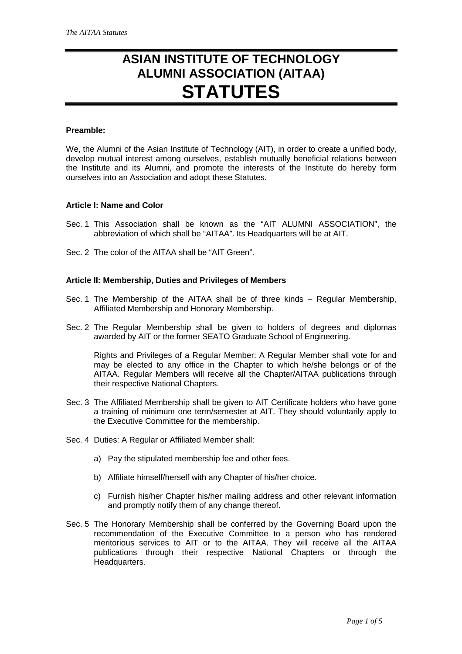# **ASIAN INSTITUTE OF TECHNOLOGY ALUMNI ASSOCIATION (AITAA) STATUTES**

#### **Preamble:**

We, the Alumni of the Asian Institute of Technology (AIT), in order to create a unified body, develop mutual interest among ourselves, establish mutually beneficial relations between the Institute and its Alumni, and promote the interests of the Institute do hereby form ourselves into an Association and adopt these Statutes.

#### **Article I: Name and Color**

- Sec. 1 This Association shall be known as the "AIT ALUMNI ASSOCIATION", the abbreviation of which shall be "AITAA". Its Headquarters will be at AIT.
- Sec. 2 The color of the AITAA shall be "AIT Green".

## **Article II: Membership, Duties and Privileges of Members**

- Sec. 1 The Membership of the AITAA shall be of three kinds Regular Membership, Affiliated Membership and Honorary Membership.
- Sec. 2 The Regular Membership shall be given to holders of degrees and diplomas awarded by AIT or the former SEATO Graduate School of Engineering.

Rights and Privileges of a Regular Member: A Regular Member shall vote for and may be elected to any office in the Chapter to which he/she belongs or of the AITAA. Regular Members will receive all the Chapter/AITAA publications through their respective National Chapters.

- Sec. 3 The Affiliated Membership shall be given to AIT Certificate holders who have gone a training of minimum one term/semester at AIT. They should voluntarily apply to the Executive Committee for the membership.
- Sec. 4 Duties: A Regular or Affiliated Member shall:
	- a) Pay the stipulated membership fee and other fees.
	- b) Affiliate himself/herself with any Chapter of his/her choice.
	- c) Furnish his/her Chapter his/her mailing address and other relevant information and promptly notify them of any change thereof.
- Sec. 5 The Honorary Membership shall be conferred by the Governing Board upon the recommendation of the Executive Committee to a person who has rendered meritorious services to AIT or to the AITAA. They will receive all the AITAA publications through their respective National Chapters or through the Headquarters.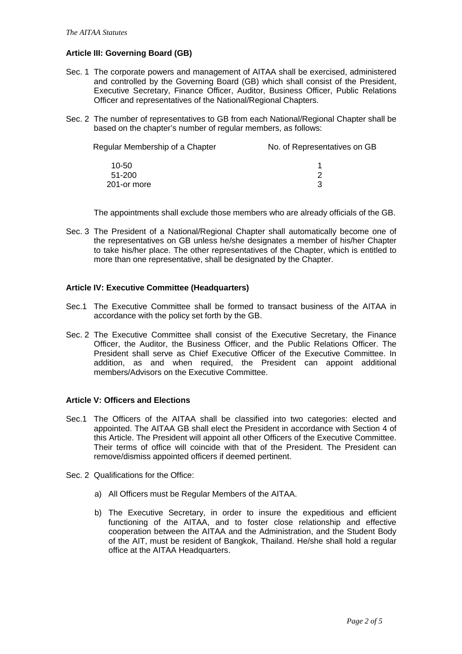## **Article III: Governing Board (GB)**

- Sec. 1 The corporate powers and management of AITAA shall be exercised, administered and controlled by the Governing Board (GB) which shall consist of the President, Executive Secretary, Finance Officer, Auditor, Business Officer, Public Relations Officer and representatives of the National/Regional Chapters.
- Sec. 2 The number of representatives to GB from each National/Regional Chapter shall be based on the chapter's number of regular members, as follows:

| No. of Representatives on GB |
|------------------------------|
|                              |
|                              |
| ີ                            |
|                              |

The appointments shall exclude those members who are already officials of the GB.

Sec. 3 The President of a National/Regional Chapter shall automatically become one of the representatives on GB unless he/she designates a member of his/her Chapter to take his/her place. The other representatives of the Chapter, which is entitled to more than one representative, shall be designated by the Chapter.

### **Article IV: Executive Committee (Headquarters)**

- Sec.1 The Executive Committee shall be formed to transact business of the AITAA in accordance with the policy set forth by the GB.
- Sec. 2 The Executive Committee shall consist of the Executive Secretary, the Finance Officer, the Auditor, the Business Officer, and the Public Relations Officer. The President shall serve as Chief Executive Officer of the Executive Committee. In addition, as and when required, the President can appoint additional members/Advisors on the Executive Committee.

### **Article V: Officers and Elections**

- Sec.1 The Officers of the AITAA shall be classified into two categories: elected and appointed. The AITAA GB shall elect the President in accordance with Section 4 of this Article. The President will appoint all other Officers of the Executive Committee. Their terms of office will coincide with that of the President. The President can remove/dismiss appointed officers if deemed pertinent.
- Sec. 2 Qualifications for the Office:
	- a) All Officers must be Regular Members of the AITAA.
	- b) The Executive Secretary, in order to insure the expeditious and efficient functioning of the AITAA, and to foster close relationship and effective cooperation between the AITAA and the Administration, and the Student Body of the AIT, must be resident of Bangkok, Thailand. He/she shall hold a regular office at the AITAA Headquarters.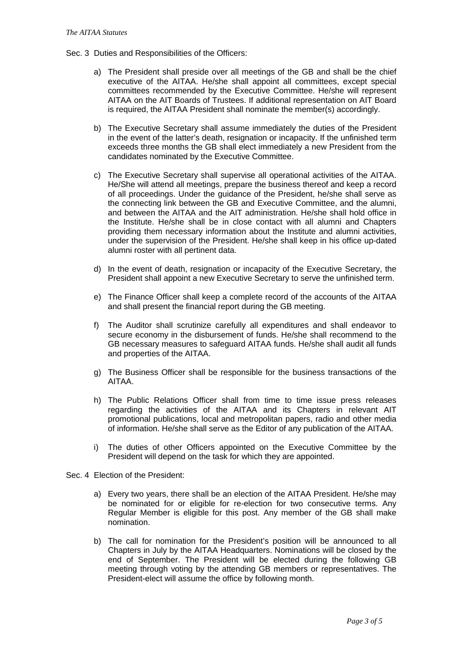- Sec. 3 Duties and Responsibilities of the Officers:
	- a) The President shall preside over all meetings of the GB and shall be the chief executive of the AITAA. He/she shall appoint all committees, except special committees recommended by the Executive Committee. He/she will represent AITAA on the AIT Boards of Trustees. If additional representation on AIT Board is required, the AITAA President shall nominate the member(s) accordingly.
	- b) The Executive Secretary shall assume immediately the duties of the President in the event of the latter's death, resignation or incapacity. If the unfinished term exceeds three months the GB shall elect immediately a new President from the candidates nominated by the Executive Committee.
	- c) The Executive Secretary shall supervise all operational activities of the AITAA. He/She will attend all meetings, prepare the business thereof and keep a record of all proceedings. Under the guidance of the President, he/she shall serve as the connecting link between the GB and Executive Committee, and the alumni, and between the AITAA and the AIT administration. He/she shall hold office in the Institute. He/she shall be in close contact with all alumni and Chapters providing them necessary information about the Institute and alumni activities, under the supervision of the President. He/she shall keep in his office up-dated alumni roster with all pertinent data.
	- d) In the event of death, resignation or incapacity of the Executive Secretary, the President shall appoint a new Executive Secretary to serve the unfinished term.
	- e) The Finance Officer shall keep a complete record of the accounts of the AITAA and shall present the financial report during the GB meeting.
	- f) The Auditor shall scrutinize carefully all expenditures and shall endeavor to secure economy in the disbursement of funds. He/she shall recommend to the GB necessary measures to safeguard AITAA funds. He/she shall audit all funds and properties of the AITAA.
	- g) The Business Officer shall be responsible for the business transactions of the AITAA.
	- h) The Public Relations Officer shall from time to time issue press releases regarding the activities of the AITAA and its Chapters in relevant AIT promotional publications, local and metropolitan papers, radio and other media of information. He/she shall serve as the Editor of any publication of the AITAA.
	- i) The duties of other Officers appointed on the Executive Committee by the President will depend on the task for which they are appointed.
- Sec. 4 Election of the President:
	- a) Every two years, there shall be an election of the AITAA President. He/she may be nominated for or eligible for re-election for two consecutive terms. Any Regular Member is eligible for this post. Any member of the GB shall make nomination.
	- b) The call for nomination for the President's position will be announced to all Chapters in July by the AITAA Headquarters. Nominations will be closed by the end of September. The President will be elected during the following GB meeting through voting by the attending GB members or representatives. The President-elect will assume the office by following month.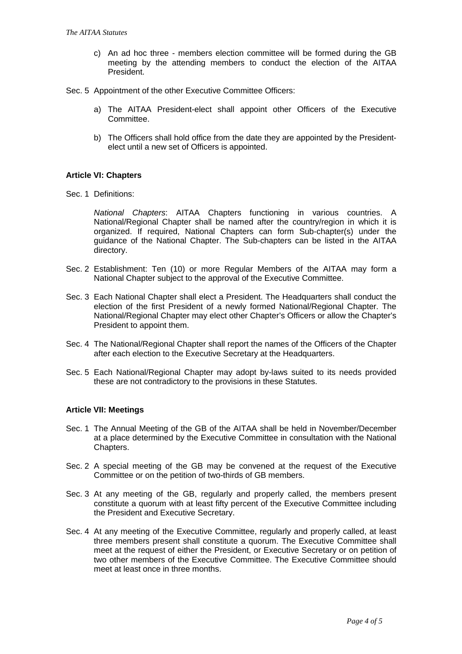- c) An ad hoc three members election committee will be formed during the GB meeting by the attending members to conduct the election of the AITAA President.
- Sec. 5 Appointment of the other Executive Committee Officers:
	- a) The AITAA President-elect shall appoint other Officers of the Executive Committee.
	- b) The Officers shall hold office from the date they are appointed by the Presidentelect until a new set of Officers is appointed.

### **Article VI: Chapters**

Sec. 1 Definitions:

National Chapters: AITAA Chapters functioning in various countries. A National/Regional Chapter shall be named after the country/region in which it is organized. If required, National Chapters can form Sub-chapter(s) under the guidance of the National Chapter. The Sub-chapters can be listed in the AITAA directory.

- Sec. 2 Establishment: Ten (10) or more Regular Members of the AITAA may form a National Chapter subject to the approval of the Executive Committee.
- Sec. 3 Each National Chapter shall elect a President. The Headquarters shall conduct the election of the first President of a newly formed National/Regional Chapter. The National/Regional Chapter may elect other Chapter's Officers or allow the Chapter's President to appoint them.
- Sec. 4 The National/Regional Chapter shall report the names of the Officers of the Chapter after each election to the Executive Secretary at the Headquarters.
- Sec. 5 Each National/Regional Chapter may adopt by-laws suited to its needs provided these are not contradictory to the provisions in these Statutes.

### **Article VII: Meetings**

- Sec. 1 The Annual Meeting of the GB of the AITAA shall be held in November/December at a place determined by the Executive Committee in consultation with the National Chapters.
- Sec. 2 A special meeting of the GB may be convened at the request of the Executive Committee or on the petition of two-thirds of GB members.
- Sec. 3 At any meeting of the GB, regularly and properly called, the members present constitute a quorum with at least fifty percent of the Executive Committee including the President and Executive Secretary.
- Sec. 4 At any meeting of the Executive Committee, regularly and properly called, at least three members present shall constitute a quorum. The Executive Committee shall meet at the request of either the President, or Executive Secretary or on petition of two other members of the Executive Committee. The Executive Committee should meet at least once in three months.